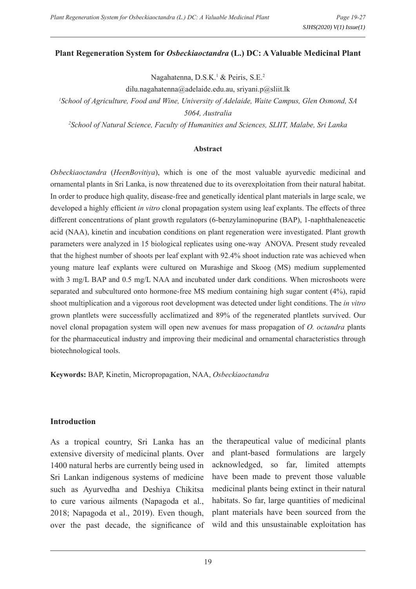#### **Plant Regeneration System for** *Osbeckiaoctandra* **(L.) DC: A Valuable Medicinal Plant**

Nagahatenna, D.S.K.<sup>1</sup> & Peiris, S.E.<sup>2</sup>

dilu.nagahatenna@adelaide.edu.au, sriyani.p@sliit.lk

*1 School of Agriculture, Food and Wine, University of Adelaide, Waite Campus, Glen Osmond, SA 5064, Australia*

*2 School of Natural Science, Faculty of Humanities and Sciences, SLIIT, Malabe, Sri Lanka*

#### **Abstract**

*Osbeckiaoctandra* (*HeenBovitiya*), which is one of the most valuable ayurvedic medicinal and ornamental plants in Sri Lanka, is now threatened due to its overexploitation from their natural habitat. In order to produce high quality, disease-free and genetically identical plant materials in large scale, we developed a highly efficient *in vitro* clonal propagation system using leaf explants. The effects of three different concentrations of plant growth regulators (6-benzylaminopurine (BAP), 1-naphthaleneacetic acid (NAA), kinetin and incubation conditions on plant regeneration were investigated. Plant growth parameters were analyzed in 15 biological replicates using one-way ANOVA. Present study revealed that the highest number of shoots per leaf explant with 92.4% shoot induction rate was achieved when young mature leaf explants were cultured on Murashige and Skoog (MS) medium supplemented with 3 mg/L BAP and 0.5 mg/L NAA and incubated under dark conditions. When microshoots were separated and subcultured onto hormone-free MS medium containing high sugar content (4%), rapid shoot multiplication and a vigorous root development was detected under light conditions. The *in vitro* grown plantlets were successfully acclimatized and 89% of the regenerated plantlets survived. Our novel clonal propagation system will open new avenues for mass propagation of *O. octandra* plants for the pharmaceutical industry and improving their medicinal and ornamental characteristics through biotechnological tools.

**Keywords:** BAP, Kinetin, Micropropagation, NAA, *Osbeckiaoctandra*

#### **Introduction**

As a tropical country, Sri Lanka has an extensive diversity of medicinal plants. Over 1400 natural herbs are currently being used in Sri Lankan indigenous systems of medicine such as Ayurvedha and Deshiya Chikitsa to cure various ailments (Napagoda et al., 2018; Napagoda et al., 2019). Even though, over the past decade, the significance of

the therapeutical value of medicinal plants and plant-based formulations are largely acknowledged, so far, limited attempts have been made to prevent those valuable medicinal plants being extinct in their natural habitats. So far, large quantities of medicinal plant materials have been sourced from the wild and this unsustainable exploitation has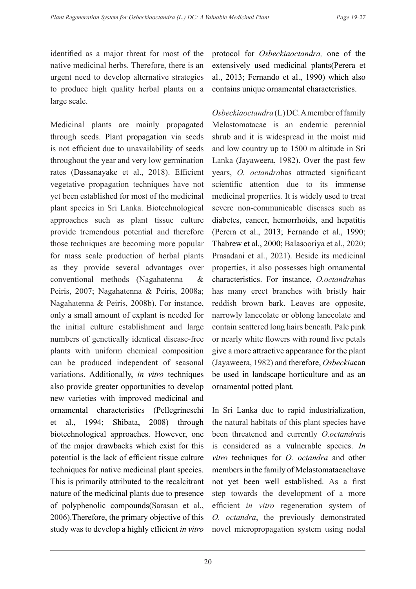identified as a major threat for most of the native medicinal herbs. Therefore, there is an urgent need to develop alternative strategies to produce high quality herbal plants on a large scale.

Medicinal plants are mainly propagated through seeds. Plant propagation via seeds is not efficient due to unavailability of seeds throughout the year and very low germination rates (Dassanayake et al., 2018). Efficient vegetative propagation techniques have not yet been established for most of the medicinal plant species in Sri Lanka. Biotechnological approaches such as plant tissue culture provide tremendous potential and therefore those techniques are becoming more popular for mass scale production of herbal plants as they provide several advantages over conventional methods (Nagahatenna & Peiris, 2007; Nagahatenna & Peiris, 2008a; Nagahatenna & Peiris, 2008b). For instance, only a small amount of explant is needed for the initial culture establishment and large numbers of genetically identical disease-free plants with uniform chemical composition can be produced independent of seasonal variations. Additionally, *in vitro* techniques also provide greater opportunities to develop new varieties with improved medicinal and ornamental characteristics (Pellegrineschi et al., 1994; Shibata, 2008) through biotechnological approaches. However, one of the major drawbacks which exist for this potential is the lack of efficient tissue culture techniques for native medicinal plant species. This is primarily attributed to the recalcitrant nature of the medicinal plants due to presence of polyphenolic compounds(Sarasan et al., 2006).Therefore, the primary objective of this study was to develop a highly efficient *in vitro* protocol for *Osbeckiaoctandra,* one of the extensively used medicinal plants(Perera et al., 2013; Fernando et al., 1990) which also contains unique ornamental characteristics.

*Osbeckiaoctandra* (L) DC. A member of family Melastomatacae is an endemic perennial shrub and it is widespread in the moist mid and low country up to 1500 m altitude in Sri Lanka (Jayaweera, 1982). Over the past few years, *O. octandra*has attracted significant scientific attention due to its immense medicinal properties. It is widely used to treat severe non-communicable diseases such as diabetes, cancer, hemorrhoids, and hepatitis (Perera et al., 2013; Fernando et al., 1990; Thabrew et al., 2000; Balasooriya et al., 2020; Prasadani et al., 2021). Beside its medicinal properties, it also possesses high ornamental characteristics. For instance, *O.octandra*has has many erect branches with bristly hair reddish brown bark. Leaves are opposite, narrowly lanceolate or oblong lanceolate and contain scattered long hairs beneath. Pale pink or nearly white flowers with round five petals give a more attractive appearance for the plant (Jayaweera, 1982) and therefore, *Osbeckia*can be used in landscape horticulture and as an ornamental potted plant.

In Sri Lanka due to rapid industrialization, the natural habitats of this plant species have been threatened and currently *O.octandra*is is considered as a vulnerable species. *In vitro* techniques for *O. octandra* and other members in the family of Melastomatacaehave not yet been well established. As a first step towards the development of a more efficient *in vitro* regeneration system of *O. octandra*, the previously demonstrated novel micropropagation system using nodal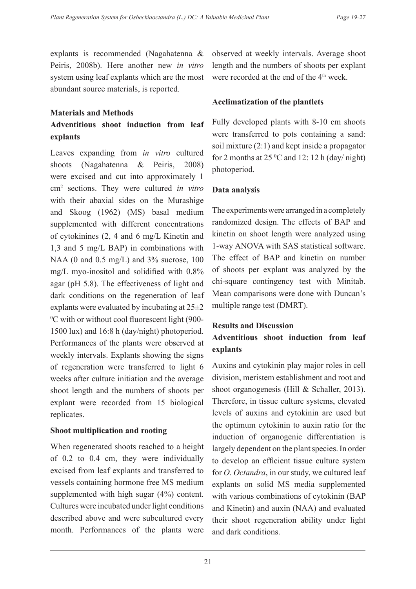explants is recommended (Nagahatenna & Peiris, 2008b). Here another new *in vitro* system using leaf explants which are the most abundant source materials, is reported.

#### **Materials and Methods Adventitious shoot induction from leaf**

# **explants**

Leaves expanding from *in vitro* cultured shoots (Nagahatenna & Peiris, 2008) were excised and cut into approximately 1 cm2 sections. They were cultured *in vitro* with their abaxial sides on the Murashige and Skoog (1962) (MS) basal medium supplemented with different concentrations of cytokinines (2, 4 and 6 mg/L Kinetin and 1,3 and 5 mg/L BAP) in combinations with NAA (0 and 0.5 mg/L) and 3% sucrose, 100 mg/L myo-inositol and solidified with 0.8% agar (pH 5.8). The effectiveness of light and dark conditions on the regeneration of leaf explants were evaluated by incubating at 25±2 0 C with or without cool fluorescent light (900- 1500 lux) and 16:8 h (day/night) photoperiod. Performances of the plants were observed at weekly intervals. Explants showing the signs of regeneration were transferred to light 6 weeks after culture initiation and the average shoot length and the numbers of shoots per explant were recorded from 15 biological replicates.

# **Shoot multiplication and rooting**

When regenerated shoots reached to a height of 0.2 to 0.4 cm, they were individually excised from leaf explants and transferred to vessels containing hormone free MS medium supplemented with high sugar (4%) content. Cultures were incubated under light conditions described above and were subcultured every month. Performances of the plants were

observed at weekly intervals. Average shoot length and the numbers of shoots per explant were recorded at the end of the 4<sup>th</sup> week.

# **Acclimatization of the plantlets**

Fully developed plants with 8-10 cm shoots were transferred to pots containing a sand: soil mixture (2:1) and kept inside a propagator for 2 months at  $25^{\circ}$ C and 12: 12 h (day/ night) photoperiod.

# **Data analysis**

The experiments were arranged in a completely randomized design. The effects of BAP and kinetin on shoot length were analyzed using 1-way ANOVA with SAS statistical software. The effect of BAP and kinetin on number of shoots per explant was analyzed by the chi-square contingency test with Minitab. Mean comparisons were done with Duncan's multiple range test (DMRT).

# **Results and Discussion Adventitious shoot induction from leaf explants**

Auxins and cytokinin play major roles in cell division, meristem establishment and root and shoot organogenesis (Hill & Schaller, 2013). Therefore, in tissue culture systems, elevated levels of auxins and cytokinin are used but the optimum cytokinin to auxin ratio for the induction of organogenic differentiation is largely dependent on the plant species. In order to develop an efficient tissue culture system for *O. Octandra*, in our study, we cultured leaf explants on solid MS media supplemented with various combinations of cytokinin (BAP and Kinetin) and auxin (NAA) and evaluated their shoot regeneration ability under light and dark conditions.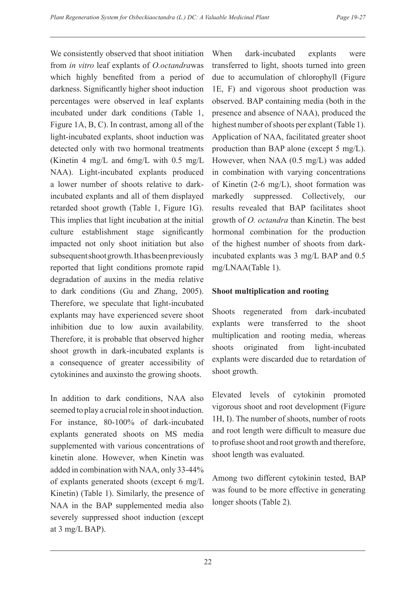We consistently observed that shoot initiation from *in vitro* leaf explants of *O.octandra*was which highly benefited from a period of darkness. Significantly higher shoot induction percentages were observed in leaf explants incubated under dark conditions (Table 1, Figure 1A, B, C). In contrast, among all of the light-incubated explants, shoot induction was detected only with two hormonal treatments (Kinetin 4 mg/L and 6mg/L with 0.5 mg/L NAA). Light-incubated explants produced a lower number of shoots relative to darkincubated explants and all of them displayed retarded shoot growth (Table 1, Figure 1G). This implies that light incubation at the initial culture establishment stage significantly impacted not only shoot initiation but also subsequent shoot growth. It has been previously reported that light conditions promote rapid degradation of auxins in the media relative to dark conditions (Gu and Zhang, 2005). Therefore, we speculate that light-incubated explants may have experienced severe shoot inhibition due to low auxin availability. Therefore, it is probable that observed higher shoot growth in dark-incubated explants is a consequence of greater accessibility of cytokinines and auxinsto the growing shoots.

In addition to dark conditions, NAA also seemed to play a crucial role in shoot induction. For instance, 80-100% of dark-incubated explants generated shoots on MS media supplemented with various concentrations of kinetin alone. However, when Kinetin was added in combination with NAA, only 33-44% of explants generated shoots (except 6 mg/L Kinetin) (Table 1). Similarly, the presence of NAA in the BAP supplemented media also severely suppressed shoot induction (except at 3 mg/L BAP).

When dark-incubated explants were transferred to light, shoots turned into green due to accumulation of chlorophyll (Figure 1E, F) and vigorous shoot production was observed. BAP containing media (both in the presence and absence of NAA), produced the highest number of shoots per explant (Table 1). Application of NAA, facilitated greater shoot production than BAP alone (except 5 mg/L). However, when NAA (0.5 mg/L) was added in combination with varying concentrations of Kinetin (2-6 mg/L), shoot formation was markedly suppressed. Collectively, our results revealed that BAP facilitates shoot growth of *O. octandra* than Kinetin. The best hormonal combination for the production of the highest number of shoots from darkincubated explants was 3 mg/L BAP and 0.5 mg/LNAA(Table 1).

# **Shoot multiplication and rooting**

Shoots regenerated from dark-incubated explants were transferred to the shoot multiplication and rooting media, whereas shoots originated from light-incubated explants were discarded due to retardation of shoot growth.

Elevated levels of cytokinin promoted vigorous shoot and root development (Figure 1H, I). The number of shoots, number of roots and root length were difficult to measure due to profuse shoot and root growth and therefore, shoot length was evaluated.

Among two different cytokinin tested, BAP was found to be more effective in generating longer shoots (Table 2).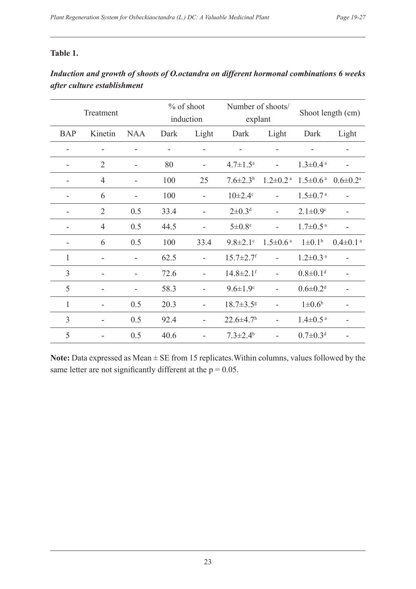#### **Table 1.**

| Treatment                |                |            | % of shoot<br>induction |       | Number of shoots/<br>explant |                            | Shoot length (cm)          |                            |
|--------------------------|----------------|------------|-------------------------|-------|------------------------------|----------------------------|----------------------------|----------------------------|
| <b>BAP</b>               | Kinetin        | <b>NAA</b> | Dark                    | Light | Dark                         | Light                      | Dark                       | Light                      |
| $\blacksquare$           |                |            |                         |       |                              |                            |                            |                            |
| -                        | $\overline{2}$ |            | 80                      |       | $4.7 \pm 1.5^{\text{a}}$     |                            | $1.3 \pm 0.4$ <sup>a</sup> |                            |
| -                        | $\overline{4}$ | ÷          | 100                     | 25    | $7.6 \pm 2.3^b$              | $1.2 \pm 0.2$ <sup>a</sup> | $1.5 \pm 0.6^{\text{ a}}$  | $0.6 \pm 0.2^{\text{a}}$   |
| -                        | 6              | ÷          | 100                     |       | $10 \pm 2.4$ <sup>c</sup>    |                            | $1.5 \pm 0.7$ <sup>a</sup> |                            |
| -                        | $\overline{2}$ | 0.5        | 33.4                    |       | $2 \pm 0.3$ <sup>d</sup>     |                            | $2.1 \pm 0.9$ °            |                            |
|                          | $\overline{4}$ | 0.5        | 44.5                    |       | $5\pm0.8$ <sup>e</sup>       |                            | $1.7 \pm 0.5$ <sup>a</sup> |                            |
| $\overline{\phantom{a}}$ | 6              | 0.5        | 100                     | 33.4  | $9.8 \pm 2.1$ °              | $1.5 \pm 0.6^{\text{a}}$   | $1 \pm 0.1^b$              | $0.4 \pm 0.1$ <sup>a</sup> |
| $\mathbf{1}$             |                |            | 62.5                    |       | $15.7 \pm 2.7$ <sup>f</sup>  |                            | $1.2 \pm 0.3$ <sup>a</sup> |                            |
| 3                        |                | ÷          | 72.6                    |       | $14.8 \pm 2.1$ <sup>f</sup>  |                            | $0.8 \pm 0.1$ <sup>d</sup> |                            |
| 5                        |                |            | 58.3                    |       | $9.6 \pm 1.9$ <sup>c</sup>   |                            | $0.6 \pm 0.2$ <sup>d</sup> |                            |
| $\mathbf{1}$             |                | 0.5        | 20.3                    |       | $18.7 \pm 3.5$ <sup>g</sup>  |                            | $1 \pm 0.6^b$              |                            |

# *Induction and growth of shoots of O.octandra on different hormonal combinations 6 weeks after culture establishment*

Note: Data expressed as Mean  $\pm$  SE from 15 replicates. Within columns, values followed by the same letter are not significantly different at the  $p = 0.05$ .

3 - 0.5 92.4 - 22.6 $\pm$ 4.7h - 1.4 $\pm$ 0.5<sup>a</sup> -

5 - 0.5 40.6 -  $7.3 \pm 2.4$ <sup>b</sup> -  $0.7 \pm 0.3$ <sup>d</sup> -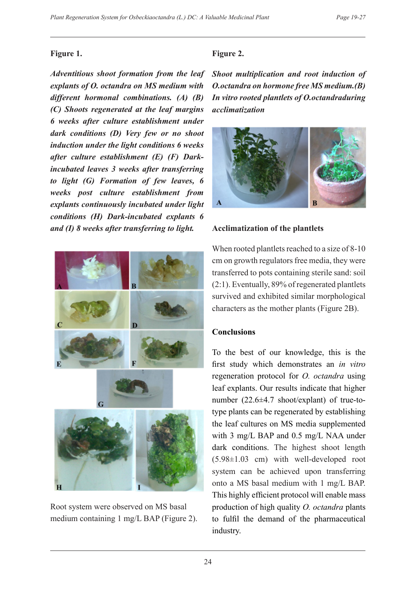## **Figure 1.**

*Adventitious shoot formation from the leaf explants of O. octandra on MS medium with different hormonal combinations. (A) (B) (C) Shoots regenerated at the leaf margins 6 weeks after culture establishment under dark conditions (D) Very few or no shoot induction under the light conditions 6 weeks after culture establishment (E) (F) Darkincubated leaves 3 weeks after transferring to light (G) Formation of few leaves, 6 weeks post culture establishment from explants continuously incubated under light conditions (H) Dark-incubated explants 6 and (I) 8 weeks after transferring to light.*



Root system were observed on MS basal medium containing 1 mg/L BAP (Figure 2).

# **Figure 2.**

*Shoot multiplication and root induction of O.octandra on hormone free MS medium.(B) In vitro rooted plantlets of O.octandraduring acclimatization*



# **Acclimatization of the plantlets**

When rooted plantlets reached to a size of 8-10 cm on growth regulators free media, they were transferred to pots containing sterile sand: soil (2:1). Eventually, 89% of regenerated plantlets survived and exhibited similar morphological characters as the mother plants (Figure 2B).

# **Conclusions**

To the best of our knowledge, this is the first study which demonstrates an *in vitro* regeneration protocol for *O. octandra* using leaf explants. Our results indicate that higher number (22.6±4.7 shoot/explant) of true-totype plants can be regenerated by establishing the leaf cultures on MS media supplemented with 3 mg/L BAP and 0.5 mg/L NAA under dark conditions. The highest shoot length (5.98±1.03 cm) with well-developed root system can be achieved upon transferring onto a MS basal medium with 1 mg/L BAP. This highly efficient protocol will enable mass production of high quality *O. octandra* plants to fulfil the demand of the pharmaceutical industry.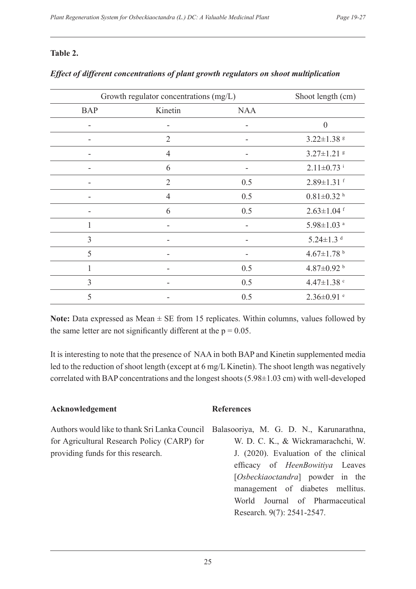#### **Table 2.**

| Growth regulator concentrations (mg/L) | Shoot length (cm) |            |                              |
|----------------------------------------|-------------------|------------|------------------------------|
| <b>BAP</b>                             | Kinetin           | <b>NAA</b> |                              |
|                                        |                   |            | $\boldsymbol{0}$             |
| ۰                                      | $\overline{2}$    | ۰          | $3.22 \pm 1.38$ 8            |
|                                        | $\overline{4}$    |            | $3.27 \pm 1.21$ <sup>8</sup> |
| $\qquad \qquad \blacksquare$           | 6                 |            | $2.11 \pm 0.73$ <sup>i</sup> |
|                                        | $\overline{2}$    | 0.5        | $2.89 \pm 1.31$ f            |
| $\qquad \qquad \blacksquare$           | $\overline{4}$    | 0.5        | $0.81 \pm 0.32$ <sup>h</sup> |
|                                        | 6                 | 0.5        | $2.63 \pm 1.04$ f            |
| 1                                      |                   |            | $5.98 \pm 1.03$ <sup>a</sup> |
| $\overline{3}$                         |                   |            | $5.24 \pm 1.3$ <sup>d</sup>  |
| 5                                      |                   |            | 4.67 $\pm$ 1.78 $^{\rm b}$   |
|                                        |                   | 0.5        | 4.87 $\pm$ 0.92 $^{\rm b}$   |
| 3                                      |                   | 0.5        | 4.47 $\pm$ 1.38 $\degree$    |
| 5                                      |                   | 0.5        | $2.36 \pm 0.91$ <sup>e</sup> |

### *Effect of different concentrations of plant growth regulators on shoot multiplication*

**Note:** Data expressed as Mean  $\pm$  SE from 15 replicates. Within columns, values followed by the same letter are not significantly different at the  $p = 0.05$ .

It is interesting to note that the presence of NAA in both BAP and Kinetin supplemented media led to the reduction of shoot length (except at 6 mg/L Kinetin). The shoot length was negatively correlated with BAP concentrations and the longest shoots (5.98±1.03 cm) with well-developed

#### **Acknowledgement**

Authors would like to thank Sri Lanka Council for Agricultural Research Policy (CARP) for providing funds for this research.

#### **References**

Balasooriya, M. G. D. N., Karunarathna, W. D. C. K., & Wickramarachchi, W. J. (2020). Evaluation of the clinical efficacy of *HeenBowitiya* Leaves [*Osbeckiaoctandra*] powder in the management of diabetes mellitus. World Journal of Pharmaceutical Research. 9(7): 2541-2547.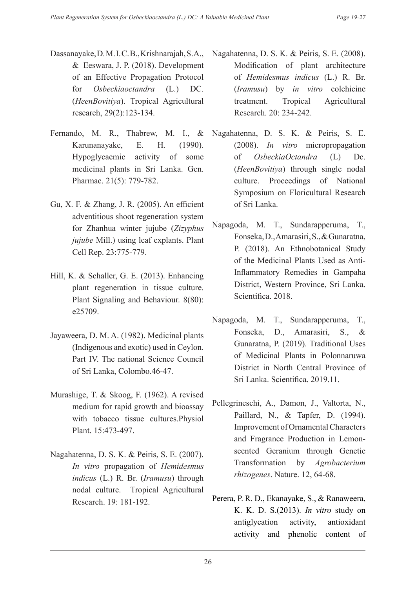- Dassanayake, D. M. I. C. B., Krishnarajah, S. A., & Eeswara, J. P. (2018). Development of an Effective Propagation Protocol for *Osbeckiaoctandra* (L.) DC. (*HeenBovitiya*). Tropical Agricultural research, 29(2):123-134.
- Fernando, M. R., Thabrew, M. I., & Karunanayake, E. H. (1990). Hypoglycaemic activity of some medicinal plants in Sri Lanka. Gen. Pharmac. 21(5): 779-782.
- Gu, X. F. & Zhang, J. R. (2005). An efficient adventitious shoot regeneration system for Zhanhua winter jujube (*Zizyphus jujube* Mill.) using leaf explants. Plant Cell Rep. 23:775-779.
- Hill, K. & Schaller, G. E. (2013). Enhancing plant regeneration in tissue culture. Plant Signaling and Behaviour. 8(80): e25709.
- Jayaweera, D. M. A. (1982). Medicinal plants (Indigenous and exotic) used in Ceylon. Part IV. The national Science Council of Sri Lanka, Colombo.46-47.
- Murashige, T. & Skoog, F. (1962). A revised medium for rapid growth and bioassay with tobacco tissue cultures.Physiol Plant. 15:473-497.
- Nagahatenna, D. S. K. & Peiris, S. E. (2007). *In vitro* propagation of *Hemidesmus indicus* (L.) R. Br. (*Iramusu*) through nodal culture. Tropical Agricultural Research. 19: 181-192.
- Nagahatenna, D. S. K. & Peiris, S. E. (2008). Modification of plant architecture of *Hemidesmus indicus* (L.) R. Br. (*Iramusu*) by *in vitro* colchicine treatment. Tropical Agricultural Research. 20: 234-242.
- Nagahatenna, D. S. K. & Peiris, S. E. (2008). *In vitro* micropropagation of *OsbeckiaOctandra* (L) Dc. (*HeenBovitiya*) through single nodal culture. Proceedings of National Symposium on Floricultural Research of Sri Lanka.
- Napagoda, M. T., Sundarapperuma, T., Fonseka, D., Amarasiri, S., & Gunaratna, P. (2018). An Ethnobotanical Study of the Medicinal Plants Used as Anti-Inflammatory Remedies in Gampaha District, Western Province, Sri Lanka. Scientifica. 2018.
- Napagoda, M. T., Sundarapperuma, T., Fonseka, D., Amarasiri, S., & Gunaratna, P. (2019). Traditional Uses of Medicinal Plants in Polonnaruwa District in North Central Province of Sri Lanka. Scientifica. 2019.11.
- Pellegrineschi, A., Damon, J., Valtorta, N., Paillard, N., & Tapfer, D. (1994). Improvement of Ornamental Characters and Fragrance Production in Lemonscented Geranium through Genetic Transformation by *Agrobacterium rhizogenes*. Nature. 12, 64-68.
- Perera, P. R. D., Ekanayake, S., & Ranaweera, K. K. D. S.(2013). *In vitro* study on antiglycation activity, antioxidant activity and phenolic content of